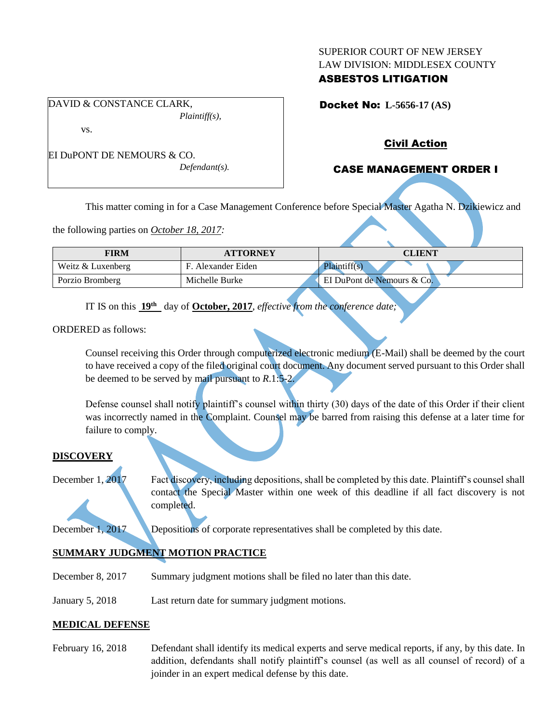#### SUPERIOR COURT OF NEW JERSEY LAW DIVISION: MIDDLESEX COUNTY

## ASBESTOS LITIGATION

Docket No: **L-5656-17 (AS)** 

*Plaintiff(s),*

vs.

EI DuPONT DE NEMOURS & CO. *Defendant(s).*

DAVID & CONSTANCE CLARK,

# Civil Action

# CASE MANAGEMENT ORDER I

This matter coming in for a Case Management Conference before Special Master Agatha N. Dzikiewicz and

the following parties on *October 18, 2017:*

| FIRM              | <b>ATTORNEY</b>    | <b>CLIENT</b>              |
|-------------------|--------------------|----------------------------|
| Weitz & Luxenberg | F. Alexander Eiden | Plaintiff(s)               |
| Porzio Bromberg   | Michelle Burke     | EI DuPont de Nemours & Co. |

IT IS on this **19th** day of **October, 2017**, *effective from the conference date;*

ORDERED as follows:

Counsel receiving this Order through computerized electronic medium (E-Mail) shall be deemed by the court to have received a copy of the filed original court document. Any document served pursuant to this Order shall be deemed to be served by mail pursuant to *R*.1:5-2.

Defense counsel shall notify plaintiff's counsel within thirty (30) days of the date of this Order if their client was incorrectly named in the Complaint. Counsel may be barred from raising this defense at a later time for failure to comply.

### **DISCOVERY**

December 1, 2017 Fact discovery, including depositions, shall be completed by this date. Plaintiff's counsel shall contact the Special Master within one week of this deadline if all fact discovery is not completed.

December 1, 2017 Depositions of corporate representatives shall be completed by this date.

# **SUMMARY JUDGMENT MOTION PRACTICE**

- December 8, 2017 Summary judgment motions shall be filed no later than this date.
- January 5, 2018 Last return date for summary judgment motions.

## **MEDICAL DEFENSE**

February 16, 2018 Defendant shall identify its medical experts and serve medical reports, if any, by this date. In addition, defendants shall notify plaintiff's counsel (as well as all counsel of record) of a joinder in an expert medical defense by this date.